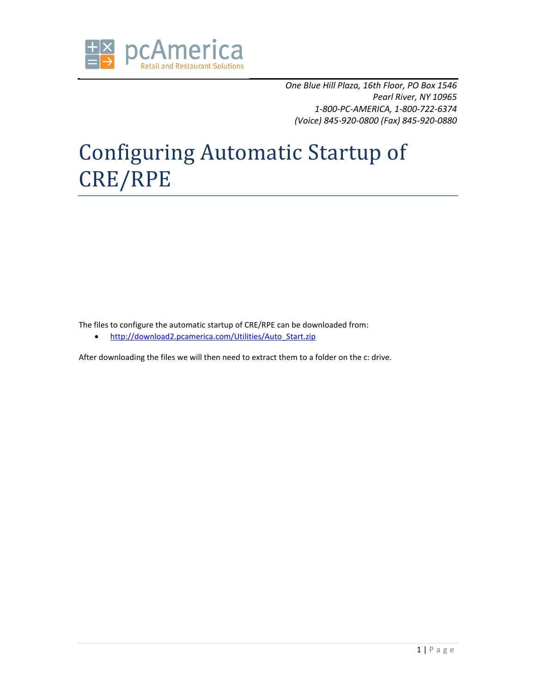

*One Blue Hill Plaza, 16th Floor, PO Box 1546 Pearl River, NY 10965 1-800-PC-AMERICA, 1-800-722-6374 (Voice) 845-920-0800 (Fax) 845-920-0880*

# Configuring Automatic Startup of CRE/RPE

The files to configure the automatic startup of CRE/RPE can be downloaded from:

• http://download2.pcamerica.com/Utilities/Auto Start.zip

After downloading the files we will then need to extract them to a folder on the c: drive.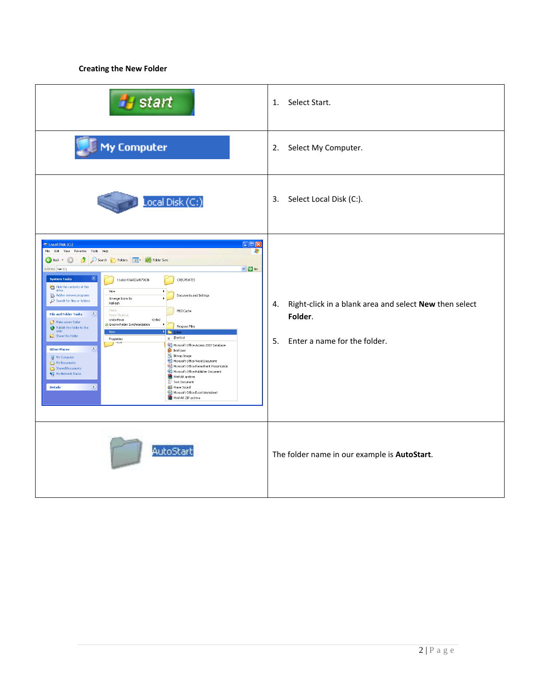# **Creating the New Folder**

| start                                                                                                                                                                                                                                                                                                                                                                                                                                                                                                                                                                                                                                                                                                                                                                                                                                                                                                                                                                                                                                                                                                                                                                                                                                                             | Select Start.<br>1.                                                                                           |
|-------------------------------------------------------------------------------------------------------------------------------------------------------------------------------------------------------------------------------------------------------------------------------------------------------------------------------------------------------------------------------------------------------------------------------------------------------------------------------------------------------------------------------------------------------------------------------------------------------------------------------------------------------------------------------------------------------------------------------------------------------------------------------------------------------------------------------------------------------------------------------------------------------------------------------------------------------------------------------------------------------------------------------------------------------------------------------------------------------------------------------------------------------------------------------------------------------------------------------------------------------------------|---------------------------------------------------------------------------------------------------------------|
| My Computer                                                                                                                                                                                                                                                                                                                                                                                                                                                                                                                                                                                                                                                                                                                                                                                                                                                                                                                                                                                                                                                                                                                                                                                                                                                       | Select My Computer.<br>2.                                                                                     |
| Local Disk $(C_i)$                                                                                                                                                                                                                                                                                                                                                                                                                                                                                                                                                                                                                                                                                                                                                                                                                                                                                                                                                                                                                                                                                                                                                                                                                                                | Select Local Disk (C:).<br>3.                                                                                 |
| $\Box$ o $\times$<br>Local Disk (C:)<br>File Edit View Favorites Tools Help<br>Æ<br>$\bigodot$ Back $\cdot$ $\bigodot$<br>$\vee$ $\rightarrow$ Go<br>Address $\bigotimes$ Ct<br>$\circledast$<br><b>System Tasks</b><br>11a0e143a922af07963b<br>CREUPDATES<br>Hide the contents of this<br>drive<br>View<br>Add or remove programs<br>Documents and Settings<br>Arrange Icons By<br>$\mathcal P$ Search for files or folders<br>Refresh<br>Paste<br>MSOCache<br>$\circledast$<br><b>File and Folder Tasks</b><br>Paste Shortcut<br>Undo Move<br>$C\text{tr}H+Z$<br>Make a new folder<br>Groove Folder Synchronization<br>Program Files<br>Publish this folder to the<br>Web<br><b>New</b><br>Share this folder<br>$B$ Shortcut<br>Properties<br><b>COM</b><br>Microsoft Office Access 2007 Database<br>$\qquad \qquad \textcircled{\scriptsize a}$<br><b>Other Places</b><br><b>Briefcase</b><br>Bitmap Image<br>My Computer<br>Microsoft Office Word Document<br>My Documents<br>Microsoft Office PowerPoint Presentation<br>Shared Documents<br>Microsoft Office Publisher Document<br>My Network Places<br>WinRAR archive<br><b>D</b> Text Document<br>$\circledast$<br>Wave Sound<br><b>Details</b><br>Microsoft Office Excel Worksheet<br>WinRAR ZIP archive | Right-click in a blank area and select New then select<br>4.<br>Folder.<br>Enter a name for the folder.<br>5. |
| AutoStart                                                                                                                                                                                                                                                                                                                                                                                                                                                                                                                                                                                                                                                                                                                                                                                                                                                                                                                                                                                                                                                                                                                                                                                                                                                         | The folder name in our example is AutoStart.                                                                  |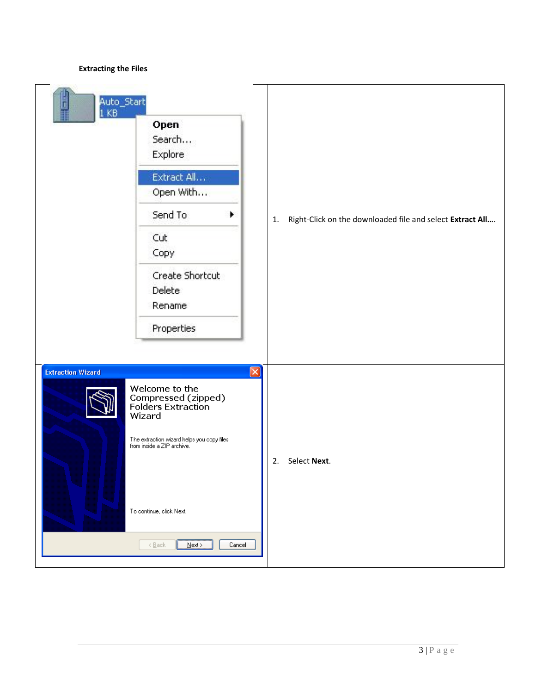## **Extracting the Files**

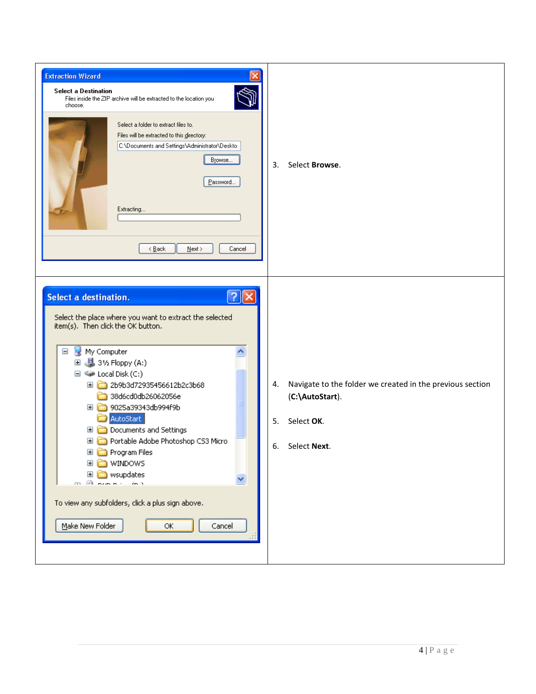| <b>Extraction Wizard</b><br><b>Select a Destination</b><br>Files inside the ZIP archive will be extracted to the location you.<br>choose.<br>Select a folder to extract files to.<br>Files will be extracted to this directory:<br>C:\Documents and Settings\Administrator\Deskto<br>Browse<br>Password<br>Extracting<br>$\leq$ $\underline{\mathsf{Back}}$<br>$N$ ext ><br>Cancel                                                                                                                                                                                                                | Select Browse.<br>3.                                                                                                         |
|---------------------------------------------------------------------------------------------------------------------------------------------------------------------------------------------------------------------------------------------------------------------------------------------------------------------------------------------------------------------------------------------------------------------------------------------------------------------------------------------------------------------------------------------------------------------------------------------------|------------------------------------------------------------------------------------------------------------------------------|
| Select a destination.<br>Select the place where you want to extract the selected<br>item(s). Then click the OK button.<br>My Computer<br>Ξ<br>31/2 Floppy (A:)<br>⊞<br>$\Box$ $\quad$ Local Disk (C:)<br>2b9b3d72935456612b2c3b68<br>$\mathbf \Xi$<br>38d6cd0db26062056e<br>9025a39343db994f9b<br>$\mathbf \Xi$<br>AutoStart<br>Documents and Settings<br>Đ<br>Portable Adobe Photoshop CS3 Micro<br>⊞<br>Program Files<br>⊞<br>WINDOWS<br>E<br>wsupdates<br>$\pm$<br>ᄿ<br><u>m. A. Aussin I</u><br>(1, 1)<br>To view any subfolders, click a plus sign above.<br>Make New Folder<br>ОК<br>Cancel | Navigate to the folder we created in the previous section<br>4.<br>(C:\AutoStart).<br>Select OK.<br>5.<br>Select Next.<br>6. |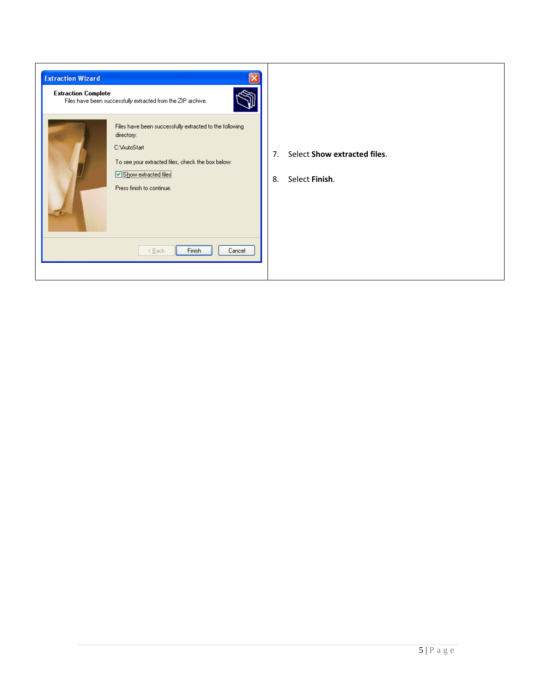| <b>Extraction Wizard</b><br><b>Extraction Complete</b><br>Files have been successfully extracted from the ZIP archive.                                                                                                                |                                                                        |
|---------------------------------------------------------------------------------------------------------------------------------------------------------------------------------------------------------------------------------------|------------------------------------------------------------------------|
| Files have been successfully extracted to the following<br>directory:<br>C:\AutoStart<br>To see your extracted files, check the box below:<br>Show extracted files<br>Press finish to continue.<br>Finish<br>Cancel<br>< <u>B</u> ack | Select Show extracted files.<br>7 <sub>1</sub><br>Select Finish.<br>8. |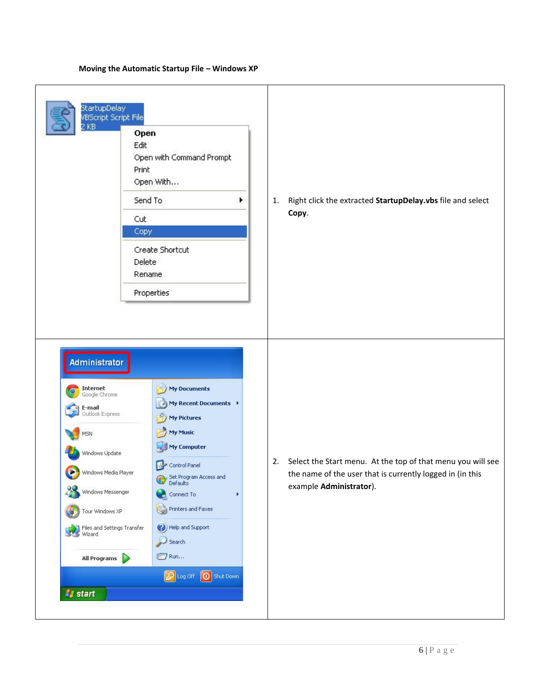

#### **Moving the Automatic Startup File – Windows XP**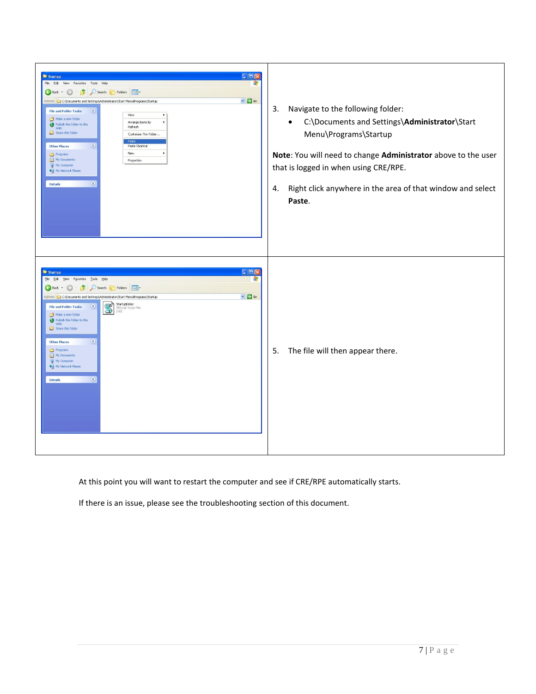| $\Box$ ex<br>Startup<br>File Edit View Favorites Tools Help<br>A.<br>Back + 0 + 1 O Search & Folders   111<br>$\vee$ $\rightarrow$ Go<br>Address C C:\Documents and Settings\Administrator\Start Menu\Programs\Startup<br>$\alpha$<br><b>File and Folder Tasks</b><br>View<br>Make a new folder<br>Arrange Icons By<br>٠<br>Publish this folder to the<br>Web<br>Refresh<br>Share this folder<br>Customize This Folder<br>Paste<br><b>Other Places</b><br>Paste Shortcut<br>New:<br>٠<br>Programs<br>My Documents<br>Properties<br>My Computer<br>My Network Places<br>$\otimes$<br><b>Details</b> | Navigate to the following folder:<br>3.<br>C:\Documents and Settings\Administrator\Start<br>$\bullet$<br>Menu\Programs\Startup<br>Note: You will need to change Administrator above to the user<br>that is logged in when using CRE/RPE.<br>Right click anywhere in the area of that window and select<br>4.<br>Paste. |
|----------------------------------------------------------------------------------------------------------------------------------------------------------------------------------------------------------------------------------------------------------------------------------------------------------------------------------------------------------------------------------------------------------------------------------------------------------------------------------------------------------------------------------------------------------------------------------------------------|------------------------------------------------------------------------------------------------------------------------------------------------------------------------------------------------------------------------------------------------------------------------------------------------------------------------|
| $\Box$ ex<br>Startup<br>File Edit View Favorites Tools Help<br>$\mathcal{L}$<br>Back + 0 + 1 O Search & Folders   111<br>$\vee$ $\rightarrow$ Go<br>C:\Documents and Settings\Administrator\Start Menu\Programs\Startup<br>StartupDelay<br>S<br>$\circ$<br><b>File and Folder Tasks</b><br>VBScript Script File<br>2KB<br>Make a new folder<br>Publish this folder to the<br>Web<br>Share this folder<br>$\circ$<br><b>Other Places</b><br>Programs<br>My Documents<br>My Computer<br>My Network Places<br>$\circ$<br><b>Details</b>                                                               | The file will then appear there.<br>5.                                                                                                                                                                                                                                                                                 |

At this point you will want to restart the computer and see if CRE/RPE automatically starts.

If there is an issue, please see the troubleshooting section of this document.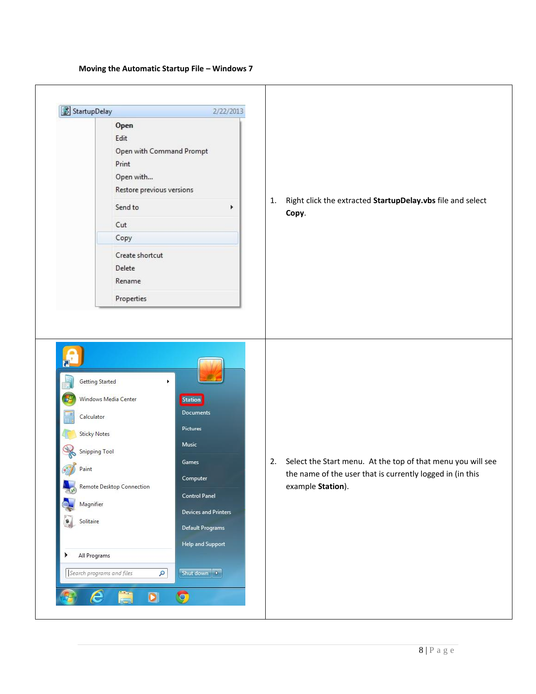**Moving the Automatic Startup File – Windows 7**

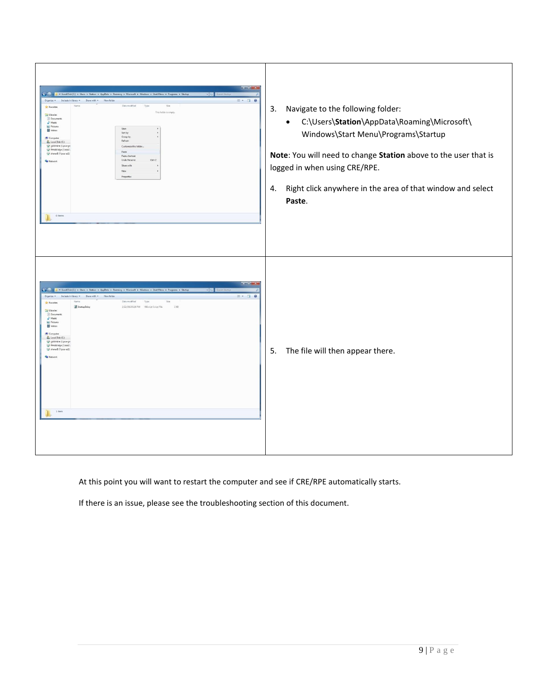| $-2 - 2$<br>可要す<br>Include in library . Share with . New folder<br>$\mathbb{R}$ . $\Box$ 0<br>Organize -<br>Date modified<br>Type<br>Name<br>Size<br><b>St</b> Favorites<br>This folder is empty<br><b>Ly</b> Libraries<br>Document<br>$h$ Music<br><b>But</b> Pictures<br>View<br>Wideos<br>Sort by<br>Group by<br><b>N</b> Computer<br>Refresh<br>Local Disk (C.)<br>geldmine (\\pca-gn<br>Customize this folder.<br>/Dan//) Spleidoidge<br>Paste<br>Sil sharedS (\\pca-ex1)<br>Paste shortcut<br>$Crit+Z$<br><b>Undo Rename</b><br><b>Qu</b> Network<br>Share with<br>New<br>Properties<br>0 items                                                                                                                                                                                                                                                                                                                                                                                                                                                                                                         | Navigate to the following folder:<br>3.<br>C:\Users\Station\AppData\Roaming\Microsoft\<br>$\bullet$<br>Windows\Start Menu\Programs\Startup<br>Note: You will need to change Station above to the user that is<br>logged in when using CRE/RPE.<br>Right click anywhere in the area of that window and select<br>4.<br>Paste. |
|---------------------------------------------------------------------------------------------------------------------------------------------------------------------------------------------------------------------------------------------------------------------------------------------------------------------------------------------------------------------------------------------------------------------------------------------------------------------------------------------------------------------------------------------------------------------------------------------------------------------------------------------------------------------------------------------------------------------------------------------------------------------------------------------------------------------------------------------------------------------------------------------------------------------------------------------------------------------------------------------------------------------------------------------------------------------------------------------------------------|------------------------------------------------------------------------------------------------------------------------------------------------------------------------------------------------------------------------------------------------------------------------------------------------------------------------------|
| $\frac{1}{2} \frac{1}{2} \frac{1}{2} \frac{1}{2} \frac{1}{2} \frac{1}{2} \frac{1}{2} \frac{1}{2} \frac{1}{2} \frac{1}{2} \frac{1}{2} \frac{1}{2} \frac{1}{2} \frac{1}{2} \frac{1}{2} \frac{1}{2} \frac{1}{2} \frac{1}{2} \frac{1}{2} \frac{1}{2} \frac{1}{2} \frac{1}{2} \frac{1}{2} \frac{1}{2} \frac{1}{2} \frac{1}{2} \frac{1}{2} \frac{1}{2} \frac{1}{2} \frac{1}{2} \frac{1}{2} \frac{$<br>A Co L « Local Disk (C:) > Users > Station > AppData > Roaming > Microsoft > Windows > Start Menu > Programs > Startup<br><b>The Co</b><br>$\mathbb{H}$ . $\mathbb{H}$ 0<br>$\begin{tabular}{ll} \textbf{Organize $\star$} & \textbf{include in library $\star$} & \textbf{Skare with $\star$} & \textbf{New folder} \end{tabular}$<br>Name<br>Date modified Type<br>Size<br><b>Sir Favorites</b><br>StartupDelay<br>2/22/2013 6:26 PM VBScript Script File<br>$-2108$<br><b>Ligil Libraries</b><br>Documents<br>Music<br><b>Pictures</b><br>Wideos<br><b>N</b> Computer<br><b>EL</b> Local Disk (C)<br>ge goldmine (Npca-gn<br>PHoldridge (\\nas1\<br>the shareds (\\pca-exl)<br><b>Qu</b> Network<br>1 item | The file will then appear there.<br>5.                                                                                                                                                                                                                                                                                       |

At this point you will want to restart the computer and see if CRE/RPE automatically starts.

If there is an issue, please see the troubleshooting section of this document.